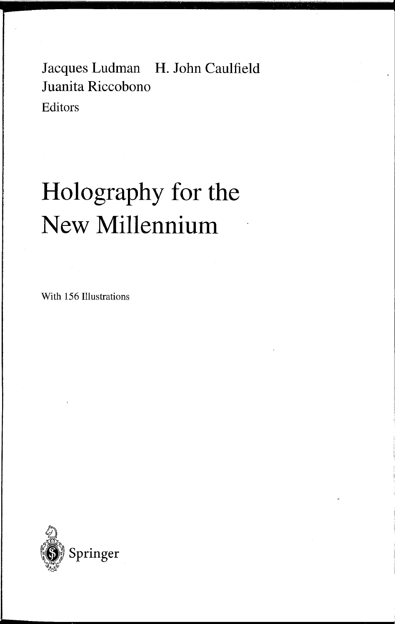Jacques Ludman H. John Caulfield Juanita Riccobono Editors

# **Holography for the New Millennium**

With 156 Illustrations

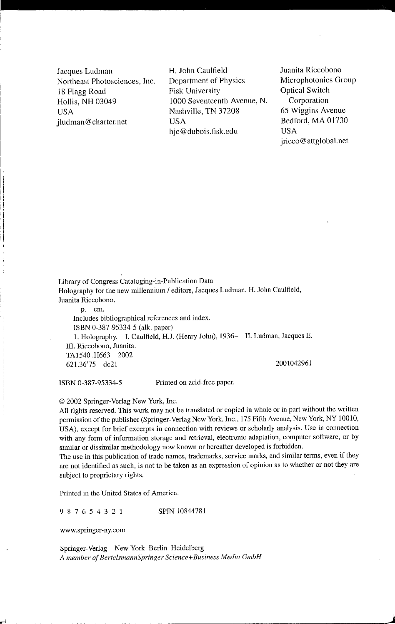Jacques Ludman Northeast Photosciences, Inc. 18 Flagg Road Hollis, NH 03049 USA jludman@charter.net

I i

r"

H. John Caulfield Department of Physics Fisk University 1000 Seventeenth Avenue, N. Nashville, TN 37208 USA hjc@dubois.fisk.edu

Juanita Riccobono Microphotonics Group Optical Switch Corporation 65 Wiggins Avenue Bedford, MA 01730 USA jricco@attglobal.net

j

Library of Congress Cataloging-in-Publication Data Holography for the new millennium / editors, Jacques Ludman, H. John Caulfield, Juanita Riccobono. p. cm.

Includes bibliographical references and index. ISBN 0-387-95334-5 (alk. paper) 1. Holography. I. Caulfield, HJ. (Henry John), 1936- 11. Ludman, Jacques E. **III.** Riccobono, Juanita. TA1540.H663 2002 621.36'75--dc21 2001042961

ISBN 0-387-95334-5 Printed on acid-free paper.

© 2002 Springer-Verlag New York, Inc.

All rights reserved. This work may not be translated or copied in whole or in part without the written permission of the publisher (Springer-Verlag New York, Inc., 175 Fifth Avenue, New York, NY 10010, USA), except for brief excerpts in connection with reviews or scholarly analysis. Use in connection with any form of information storage and retrieval, electronic adaptation, computer software, or by similar or dissimilar methodology now known or hereafter developed is forbidden.

The use in this publication of trade names, trademarks, service marks, and similar terms, even if they me not identified as such, is not to be taken as an expression of opinion as to whether or not they are subject to proprietary rights.

Printed in the United States of America.

9 8 7 6 5 4 3 2 I SPIN 10844781

www.springer-ny.eom

Springer-Verlag New York Berlin Heidelberg *A member of BerteismannSpringer Science+Business Media GmbH*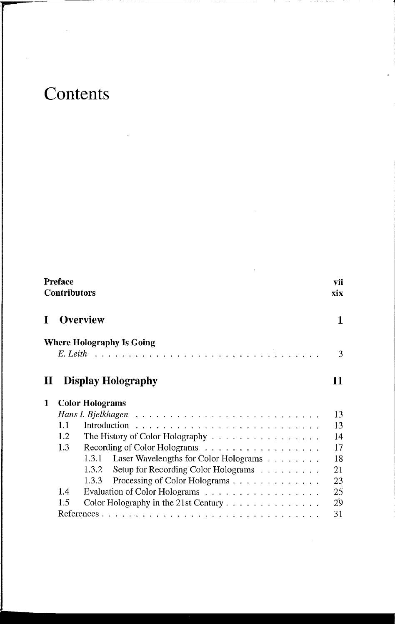# **Contents**

|          | Preface<br><b>Contributors</b>                 |    |  |
|----------|------------------------------------------------|----|--|
| T        | <b>Overview</b>                                |    |  |
|          | <b>Where Holography Is Going</b>               | 3  |  |
| $\bf\Pi$ | <b>Display Holography</b>                      | 11 |  |
| 1        | <b>Color Holograms</b>                         |    |  |
|          |                                                | 13 |  |
|          | 1.1                                            | 13 |  |
|          | 1.2<br>The History of Color Holography         | 14 |  |
|          | Recording of Color Holograms<br>1.3            | 17 |  |
|          | Laser Wavelengths for Color Holograms<br>1.3.1 | 18 |  |
|          | Setup for Recording Color Holograms<br>1.3.2   | 21 |  |
|          | Processing of Color Holograms<br>1.3.3         | 23 |  |
|          | Evaluation of Color Holograms<br>1.4           | 25 |  |
|          | 1.5<br>Color Holography in the 21st Century    | 29 |  |
|          |                                                | 31 |  |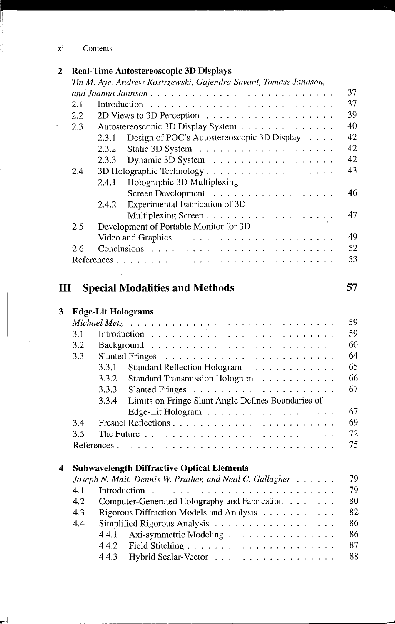j

#### 2 **Real-Time Autostereoscopic 3D Displays**

|                |     | Tin M. Aye, Andrew Kostrzewski, Gajendra Savant, Tomasz Jannson,                                                                                                                                                                                   |    |
|----------------|-----|----------------------------------------------------------------------------------------------------------------------------------------------------------------------------------------------------------------------------------------------------|----|
|                |     | and Joanna Jannson                                                                                                                                                                                                                                 | 37 |
|                | 2.1 | Introduction<br>the contract of the contract of the contract of the contract of the contract of the contract of the contract of                                                                                                                    | 37 |
|                | 2.2 |                                                                                                                                                                                                                                                    | 39 |
|                | 2.3 | Autostereoscopic 3D Display System                                                                                                                                                                                                                 | 40 |
|                |     | Design of POC's Autostereoscopic 3D Display<br>2.3.1                                                                                                                                                                                               | 42 |
|                |     | 2.3.2                                                                                                                                                                                                                                              | 42 |
|                |     | 2.3.3                                                                                                                                                                                                                                              | 42 |
|                | 2.4 | 3D Holographic Technology                                                                                                                                                                                                                          | 43 |
|                |     | Holographic 3D Multiplexing<br>2.4.1                                                                                                                                                                                                               |    |
|                |     |                                                                                                                                                                                                                                                    | 46 |
|                |     | Experimental Fabrication of 3D<br>2.4.2                                                                                                                                                                                                            |    |
|                |     |                                                                                                                                                                                                                                                    | 47 |
|                | 2.5 | Development of Portable Monitor for 3D                                                                                                                                                                                                             |    |
|                |     |                                                                                                                                                                                                                                                    | 49 |
|                | 2.6 |                                                                                                                                                                                                                                                    | 52 |
|                |     |                                                                                                                                                                                                                                                    | 53 |
|                |     |                                                                                                                                                                                                                                                    |    |
|                |     |                                                                                                                                                                                                                                                    |    |
| $\mathbf{III}$ |     | <b>Special Modalities and Methods</b>                                                                                                                                                                                                              | 57 |
| 3              |     | <b>Edge-Lit Holograms</b>                                                                                                                                                                                                                          |    |
|                |     |                                                                                                                                                                                                                                                    | 59 |
|                | 3.1 |                                                                                                                                                                                                                                                    | 59 |
|                | 3.2 | Background<br><u>. Die beschriften der Beschrift der Beschrift der Beschrift der Beschrift der Beschrift der Beschrift der Beschrift der Beschrift der Beschrift der Beschrift der Beschrift der Beschrift der Beschrift der Beschrift der Bes</u> | 60 |
|                | 3.3 | <b>Slanted Fringes</b>                                                                                                                                                                                                                             | 64 |
|                |     | 3.3.1<br>Standard Reflection Hologram                                                                                                                                                                                                              | 65 |
|                |     | 3.3.2<br>Standard Transmission Hologram                                                                                                                                                                                                            | 66 |
|                |     | 3.3.3                                                                                                                                                                                                                                              | 67 |
|                |     | 3.3.4<br>Limits on Fringe Slant Angle Defines Boundaries of                                                                                                                                                                                        |    |
|                |     |                                                                                                                                                                                                                                                    | 67 |
|                | 3.4 |                                                                                                                                                                                                                                                    | 69 |
|                | 3.5 |                                                                                                                                                                                                                                                    | 72 |
|                |     |                                                                                                                                                                                                                                                    | 75 |
|                |     |                                                                                                                                                                                                                                                    |    |
| 4              |     | <b>Subwavelength Diffractive Optical Elements</b>                                                                                                                                                                                                  |    |
|                |     | Joseph N. Mait, Dennis W. Prather, and Neal C. Gallagher                                                                                                                                                                                           | 79 |
|                |     |                                                                                                                                                                                                                                                    | 79 |
|                | 4.2 | Computer-Generated Holography and Fabrication                                                                                                                                                                                                      | 80 |
|                | 4.3 | Rigorous Diffraction Models and Analysis                                                                                                                                                                                                           | 82 |
|                | 4.4 |                                                                                                                                                                                                                                                    | 86 |
|                |     | Axi-symmetric Modeling<br>4.4.1                                                                                                                                                                                                                    | 86 |
|                |     | 4.4.2                                                                                                                                                                                                                                              | 87 |
|                |     | Hybrid Scalar-Vector<br>4.4.3                                                                                                                                                                                                                      | 88 |

4.4.3 Hybrid Scalar-Vector . .

......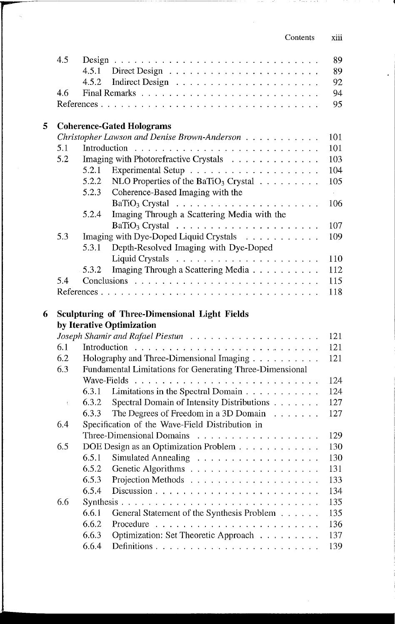| Contents | X111 |
|----------|------|
|          |      |

Construction Co

|   | 4.5 |                |                                                                                                                                                  | 89         |
|---|-----|----------------|--------------------------------------------------------------------------------------------------------------------------------------------------|------------|
|   |     | 4.5.1          |                                                                                                                                                  | 89         |
|   |     | 4.5.2          |                                                                                                                                                  | 92         |
|   | 4.6 |                |                                                                                                                                                  | 94         |
|   |     |                |                                                                                                                                                  | 95         |
|   |     |                |                                                                                                                                                  |            |
| 5 |     |                | <b>Coherence-Gated Holograms</b>                                                                                                                 |            |
|   |     |                | Christopher Lawson and Denise Brown-Anderson                                                                                                     | 101        |
|   | 5.1 | Introduction   |                                                                                                                                                  | 101        |
|   | 5.2 |                | Imaging with Photorefractive Crystals                                                                                                            | 103        |
|   |     | 5.2.1          |                                                                                                                                                  | 104        |
|   |     | 5.2.2          | NLO Properties of the BaTiO <sub>3</sub> Crystal $\ldots \ldots \ldots$                                                                          | 105        |
|   |     | 5.2.3          | Coherence-Based Imaging with the                                                                                                                 | $\bar{L}$  |
|   |     |                | BaTiO <sub>3</sub> Crystal $\ldots \ldots \ldots \ldots \ldots \ldots \ldots$                                                                    | 106        |
|   |     | 5.2.4          | Imaging Through a Scattering Media with the                                                                                                      |            |
|   |     |                |                                                                                                                                                  | 107        |
|   | 5.3 |                | Imaging with Dye-Doped Liquid Crystals                                                                                                           | 109        |
|   |     | 5.3.1          | Depth-Resolved Imaging with Dye-Doped                                                                                                            |            |
|   |     |                |                                                                                                                                                  | 110        |
|   |     | 5.3.2          | Imaging Through a Scattering Media                                                                                                               | 112        |
|   | 5.4 |                |                                                                                                                                                  | 115        |
|   |     |                |                                                                                                                                                  |            |
|   |     |                |                                                                                                                                                  | 118        |
|   |     |                |                                                                                                                                                  |            |
| 6 |     |                | <b>Sculpturing of Three-Dimensional Light Fields</b>                                                                                             |            |
|   |     |                | by Iterative Optimization                                                                                                                        |            |
|   |     |                |                                                                                                                                                  | 121        |
|   | 6.1 | Introduction   |                                                                                                                                                  | 121        |
|   | 6.2 |                | Holography and Three-Dimensional Imaging                                                                                                         | 121        |
|   | 6.3 |                | Fundamental Limitations for Generating Three-Dimensional                                                                                         |            |
|   |     | Wave-Fields    |                                                                                                                                                  | 124        |
|   |     | 6.3.1          | Limitations in the Spectral Domain                                                                                                               | 124        |
|   | ţ   | 6.3.2          | Spectral Domain of Intensity Distributions                                                                                                       | 127        |
|   |     | 6.3.3          | The Degrees of Freedom in a 3D Domain                                                                                                            | 127        |
|   | 6.4 |                | Specification of the Wave-Field Distribution in                                                                                                  |            |
|   |     |                | Three-Dimensional Domains<br>.<br>In the company of the company of the company of the company of the company of the company of the company of th | 129        |
|   | 6.5 |                |                                                                                                                                                  | 130        |
|   |     | 6.5.1          | DOE Design as an Optimization Problem                                                                                                            |            |
|   |     |                |                                                                                                                                                  | 130        |
|   |     | 6.5.2          |                                                                                                                                                  | 131        |
|   |     | 6.5.3          |                                                                                                                                                  | 133        |
|   |     | 6.5.4          |                                                                                                                                                  | 134        |
|   | 6.6 |                |                                                                                                                                                  | 135        |
|   |     | 6.6.1          | General Statement of the Synthesis Problem                                                                                                       | 135        |
|   |     | 6.6.2          |                                                                                                                                                  | 136        |
|   |     | 6.6.3<br>6.6.4 | Optimization: Set Theoretic Approach                                                                                                             | 137<br>139 |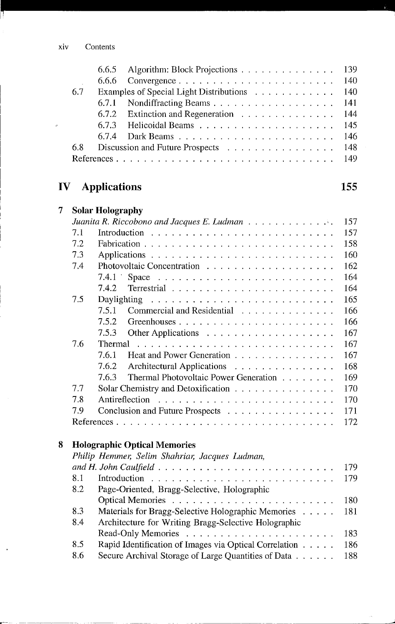$\epsilon$ 

T

|      | 6.6.5 Algorithm: Block Projections 139                                           |  |
|------|----------------------------------------------------------------------------------|--|
|      |                                                                                  |  |
| -6.7 | Examples of Special Light Distributions 140                                      |  |
|      | 6.7.1 Nondiffracting Beams 141                                                   |  |
|      | 6.7.2 Extinction and Regeneration 144                                            |  |
|      | 6.7.3 Helicoidal Beams $\ldots$ $\ldots$ $\ldots$ $\ldots$ $\ldots$ $\ldots$ 145 |  |
|      |                                                                                  |  |
| 6.8  | Discussion and Future Prospects 148                                              |  |
|      |                                                                                  |  |
|      |                                                                                  |  |

**155** 

--------------------~

## **IV Applications**

| 7 |     | <b>Solar Holography</b>                                                                                                                                                                                                                                |
|---|-----|--------------------------------------------------------------------------------------------------------------------------------------------------------------------------------------------------------------------------------------------------------|
|   |     | 157<br>Juanita R. Riccobono and Jacques E. Ludman $\ldots \ldots \ldots \ldots$                                                                                                                                                                        |
|   | 7.1 | 157                                                                                                                                                                                                                                                    |
|   | 7.2 | 158                                                                                                                                                                                                                                                    |
|   | 7.3 | 160                                                                                                                                                                                                                                                    |
|   | 7.4 | 162                                                                                                                                                                                                                                                    |
|   |     | 164                                                                                                                                                                                                                                                    |
|   |     | 164<br>7.4.2                                                                                                                                                                                                                                           |
|   | 7.5 | 165                                                                                                                                                                                                                                                    |
|   |     | 166<br>7.5.1<br>Commercial and Residential                                                                                                                                                                                                             |
|   |     | 7.5.2<br>166                                                                                                                                                                                                                                           |
|   |     | 7.5.3<br>167                                                                                                                                                                                                                                           |
|   | 7.6 | Thermal $\ldots \ldots \ldots \ldots \ldots \ldots \ldots \ldots \ldots \ldots$<br>167                                                                                                                                                                 |
|   |     | 7.6.1<br>Heat and Power Generation<br>167                                                                                                                                                                                                              |
|   |     | 168<br>Architectural Applications<br>7.6.2                                                                                                                                                                                                             |
|   |     | Thermal Photovoltaic Power Generation<br>169<br>7.6.3                                                                                                                                                                                                  |
|   | 7.7 | Solar Chemistry and Detoxification<br>170                                                                                                                                                                                                              |
|   | 7.8 | Antireflection<br>170<br>and a construction of the construction of the construction of the construction of the construction of the construction of the construction of the construction of the construction of the construction of the construction of |
|   | 7.9 | 171<br>Conclusion and Future Prospects                                                                                                                                                                                                                 |
|   |     | 172                                                                                                                                                                                                                                                    |
|   |     |                                                                                                                                                                                                                                                        |

#### **8 Holographic Optical Memories**

|     | Philip Hemmer, Selim Shahriar, Jacques Ludman,         |       |
|-----|--------------------------------------------------------|-------|
|     |                                                        | 179   |
| 8.1 |                                                        |       |
| 8.2 | Page-Oriented, Bragg-Selective, Holographic            |       |
|     |                                                        | 180   |
| 8.3 | Materials for Bragg-Selective Holographic Memories     | -181  |
| 8.4 | Architecture for Writing Bragg-Selective Holographic   |       |
|     |                                                        | 183   |
| 8.5 | Rapid Identification of Images via Optical Correlation | 186   |
| 8.6 | Secure Archival Storage of Large Quantities of Data    | - 188 |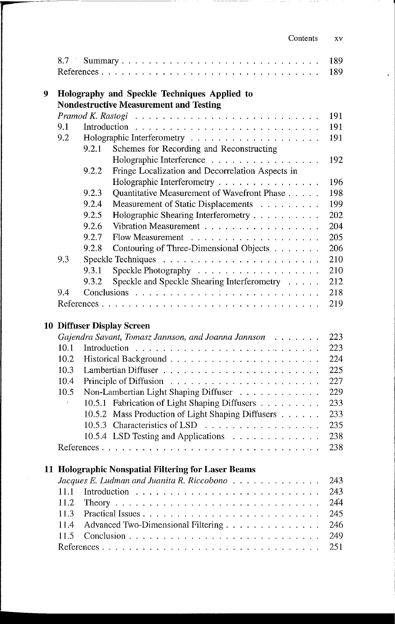| Contents | XV |
|----------|----|
|----------|----|

in a Sil

 $\cdots$ 

|   | 8.7  |              | Summary                                                                                                                                                                                                                           | 189<br>189 |
|---|------|--------------|-----------------------------------------------------------------------------------------------------------------------------------------------------------------------------------------------------------------------------------|------------|
| 9 |      |              | Holography and Speckle Techniques Applied to<br><b>Nondestructive Measurement and Testing</b>                                                                                                                                     |            |
|   |      |              |                                                                                                                                                                                                                                   | 191        |
|   | 9.1  | Introduction |                                                                                                                                                                                                                                   | 191        |
|   | 9.2  |              |                                                                                                                                                                                                                                   | 191        |
|   |      | 9.2.1        | Schemes for Recording and Reconstructing                                                                                                                                                                                          |            |
|   |      |              | Holographic Interference                                                                                                                                                                                                          | 192        |
|   |      | 9.2.2        | Fringe Localization and Decorrelation Aspects in                                                                                                                                                                                  |            |
|   |      |              | Holographic Interferometry                                                                                                                                                                                                        | 196        |
|   |      | 9.2.3        | Quantitative Measurement of Wavefront Phase                                                                                                                                                                                       | 198        |
|   |      | 9.2.4        | Measurement of Static Displacements                                                                                                                                                                                               | 199        |
|   |      | 9.2.5        |                                                                                                                                                                                                                                   | 202        |
|   |      |              | Holographic Shearing Interferometry<br>Vibration Measurement                                                                                                                                                                      |            |
|   |      | 9.2.6        |                                                                                                                                                                                                                                   | 204        |
|   |      | 9.2.7        | <b>Flow Measurement</b><br>.                                                                                                                                                                                                      | 205        |
|   |      | 9.2.8        | Contouring of Three-Dimensional Objects                                                                                                                                                                                           | 206        |
|   | 9.3  |              | Speckle Techniques                                                                                                                                                                                                                | 210        |
|   |      | 9.3.1        | Speckle Photography                                                                                                                                                                                                               | 210        |
|   |      | 9.3.2        | Speckle and Speckle Shearing Interferometry                                                                                                                                                                                       | 212        |
|   | 9.4  |              |                                                                                                                                                                                                                                   | 218        |
|   |      |              |                                                                                                                                                                                                                                   | 219        |
|   |      |              |                                                                                                                                                                                                                                   |            |
|   |      |              | <b>10 Diffuser Display Screen</b>                                                                                                                                                                                                 |            |
|   |      |              | Gajendra Savant, Tomasz Jannson, and Joanna Jannson                                                                                                                                                                               | 223        |
|   | 10.1 | Introduction |                                                                                                                                                                                                                                   | 223        |
|   | 10.2 |              |                                                                                                                                                                                                                                   | 224        |
|   | 10.3 |              |                                                                                                                                                                                                                                   | 225        |
|   | 10.4 |              |                                                                                                                                                                                                                                   | 227        |
|   | 10.5 |              | Non-Lambertian Light Shaping Diffuser                                                                                                                                                                                             | 229        |
|   |      |              | 10.5.1 Fabrication of Light Shaping Diffusers                                                                                                                                                                                     | 233        |
|   |      | 10.5.2       | Mass Production of Light Shaping Diffusers                                                                                                                                                                                        | 233        |
|   |      |              | 10.5.3 Characteristics of LSD                                                                                                                                                                                                     | 235        |
|   |      |              | 10.5.4 LSD Testing and Applications                                                                                                                                                                                               | 238        |
|   |      |              | $\mathbf{r}$ . The set of the set of the set of the set of the set of the set of the set of the set of the set of the set of the set of the set of the set of the set of the set of the set of the set of the set of the set of t | 238        |
|   |      |              |                                                                                                                                                                                                                                   |            |
|   |      |              | 11 Holographic Nonspatial Filtering for Laser Beams                                                                                                                                                                               |            |
|   |      |              | Jacques E. Ludman and Juanita R. Riccobono $\ldots \ldots \ldots \ldots$                                                                                                                                                          | 243        |
|   | 11.1 |              |                                                                                                                                                                                                                                   | 243        |
|   | 11.2 |              |                                                                                                                                                                                                                                   | 244        |
|   | 11.3 |              |                                                                                                                                                                                                                                   | 245        |
|   | 11.4 |              | Advanced Two-Dimensional Filtering                                                                                                                                                                                                | 246        |
|   | 11.5 |              |                                                                                                                                                                                                                                   | 249        |
|   |      |              |                                                                                                                                                                                                                                   | 251        |
|   |      |              |                                                                                                                                                                                                                                   |            |

 $\epsilon$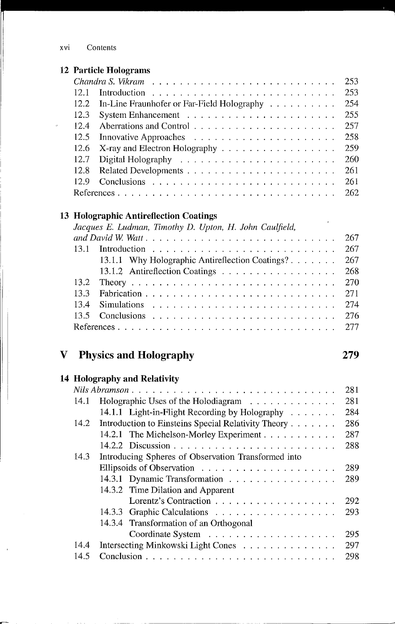#### **12 Particle Holograms**

|      | 12.2 In-Line Fraunhofer or Far-Field Holography | 254  |
|------|-------------------------------------------------|------|
|      |                                                 | 255  |
| 12.4 |                                                 | -257 |
|      |                                                 | -258 |
|      | 12.6 X-ray and Electron Holography 259          |      |
|      |                                                 | -260 |
|      |                                                 | 261  |
| 12.9 |                                                 | 261  |
|      |                                                 |      |

#### **13 Holographic Antireflection Coatings**

| Jacques E. Ludman, Timothy D. Upton, H. John Caulfield, |  |
|---------------------------------------------------------|--|
|                                                         |  |
|                                                         |  |
| 13.1.1 Why Holographic Antireflection Coatings?<br>267  |  |
| 13.1.2 Antireflection Coatings 268                      |  |
|                                                         |  |
| 13.3                                                    |  |
| 13.4                                                    |  |
|                                                         |  |
|                                                         |  |
|                                                         |  |

**279** 

### **V Physics and Holography**

|  | 14 Holography and Relativity |  |  |
|--|------------------------------|--|--|
|--|------------------------------|--|--|

r--

| 281<br>Nils Abramson |                                                     |     |  |  |  |  |
|----------------------|-----------------------------------------------------|-----|--|--|--|--|
| 14.1                 | Holographic Uses of the Holodiagram                 | 281 |  |  |  |  |
|                      | 14.1.1 Light-in-Flight Recording by Holography      | 284 |  |  |  |  |
| 14.2                 | Introduction to Einsteins Special Relativity Theory | 286 |  |  |  |  |
|                      | 14.2.1 The Michelson-Morley Experiment              | 287 |  |  |  |  |
|                      |                                                     | 288 |  |  |  |  |
| 14.3                 | Introducing Spheres of Observation Transformed into |     |  |  |  |  |
|                      |                                                     | 289 |  |  |  |  |
|                      | 14.3.1 Dynamic Transformation                       | 289 |  |  |  |  |
|                      | 14.3.2 Time Dilation and Apparent                   |     |  |  |  |  |
|                      | Lorentz's Contraction                               | 292 |  |  |  |  |
|                      |                                                     | 293 |  |  |  |  |
|                      | 14.3.4 Transformation of an Orthogonal              |     |  |  |  |  |
|                      |                                                     | 295 |  |  |  |  |
| 14.4                 | Intersecting Minkowski Light Cones                  | 297 |  |  |  |  |
| 14.5                 |                                                     | 298 |  |  |  |  |